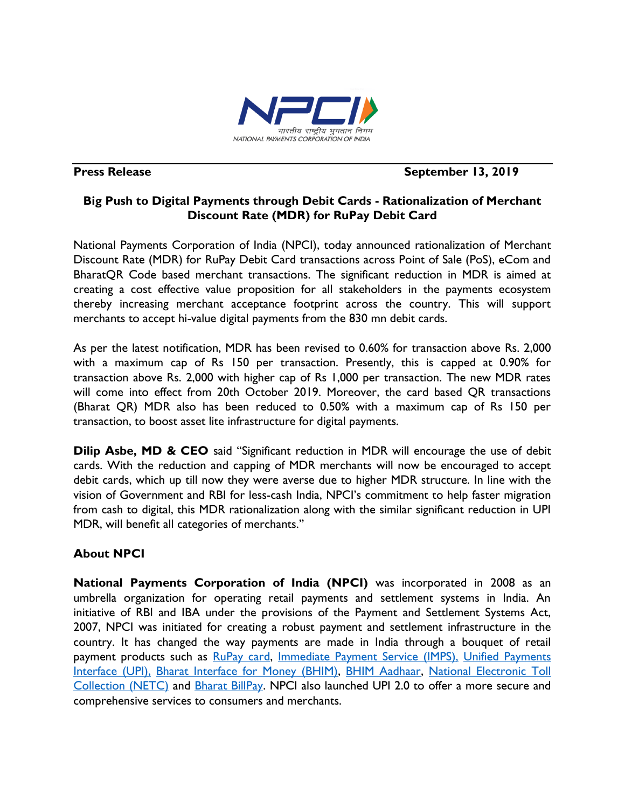

# **Press Release September 13, 2019**

## **Big Push to Digital Payments through Debit Cards - Rationalization of Merchant Discount Rate (MDR) for RuPay Debit Card**

National Payments Corporation of India (NPCI), today announced rationalization of Merchant Discount Rate (MDR) for RuPay Debit Card transactions across Point of Sale (PoS), eCom and BharatQR Code based merchant transactions. The significant reduction in MDR is aimed at creating a cost effective value proposition for all stakeholders in the payments ecosystem thereby increasing merchant acceptance footprint across the country. This will support merchants to accept hi-value digital payments from the 830 mn debit cards.

As per the latest notification, MDR has been revised to 0.60% for transaction above Rs. 2,000 with a maximum cap of Rs 150 per transaction. Presently, this is capped at 0.90% for transaction above Rs. 2,000 with higher cap of Rs 1,000 per transaction. The new MDR rates will come into effect from 20th October 2019. Moreover, the card based QR transactions (Bharat QR) MDR also has been reduced to 0.50% with a maximum cap of Rs 150 per transaction, to boost asset lite infrastructure for digital payments.

**Dilip Asbe, MD & CEO** said "Significant reduction in MDR will encourage the use of debit cards. With the reduction and capping of MDR merchants will now be encouraged to accept debit cards, which up till now they were averse due to higher MDR structure. In line with the vision of Government and RBI for less-cash India, NPCI's commitment to help faster migration from cash to digital, this MDR rationalization along with the similar significant reduction in UPI MDR, will benefit all categories of merchants."

# **About NPCI**

**National Payments Corporation of India (NPCI)** was incorporated in 2008 as an umbrella organization for operating retail payments and settlement systems in India. An initiative of RBI and IBA under the provisions of the Payment and Settlement Systems Act, 2007, NPCI was initiated for creating a robust payment and settlement infrastructure in the country. It has changed the way payments are made in India through a bouquet of retail payment products such as [RuPay card,](https://www.npci.org.in/product-overview/rupay-product-overview) [Immediate Payment Service \(IMPS\),](https://www.npci.org.in/product-overview/imps-product-overview) Unified Payments [Interface \(UPI\),](https://www.npci.org.in/product-overview/upi-product-overview) [Bharat Interface for Money \(BHIM\),](https://www.npci.org.in/product-overview/bhim-product-overview) [BHIM Aadhaar,](https://www.npci.org.in/product-overview/bhim-aadhaar) [National Electronic Toll](https://www.npci.org.in/netc)  [Collection \(NETC\)](https://www.npci.org.in/netc) and [Bharat BillPay.](https://www.npci.org.in/product-overview/bharat-billpay-product-overview) NPCI also launched UPI 2.0 to offer a more secure and comprehensive services to consumers and merchants.